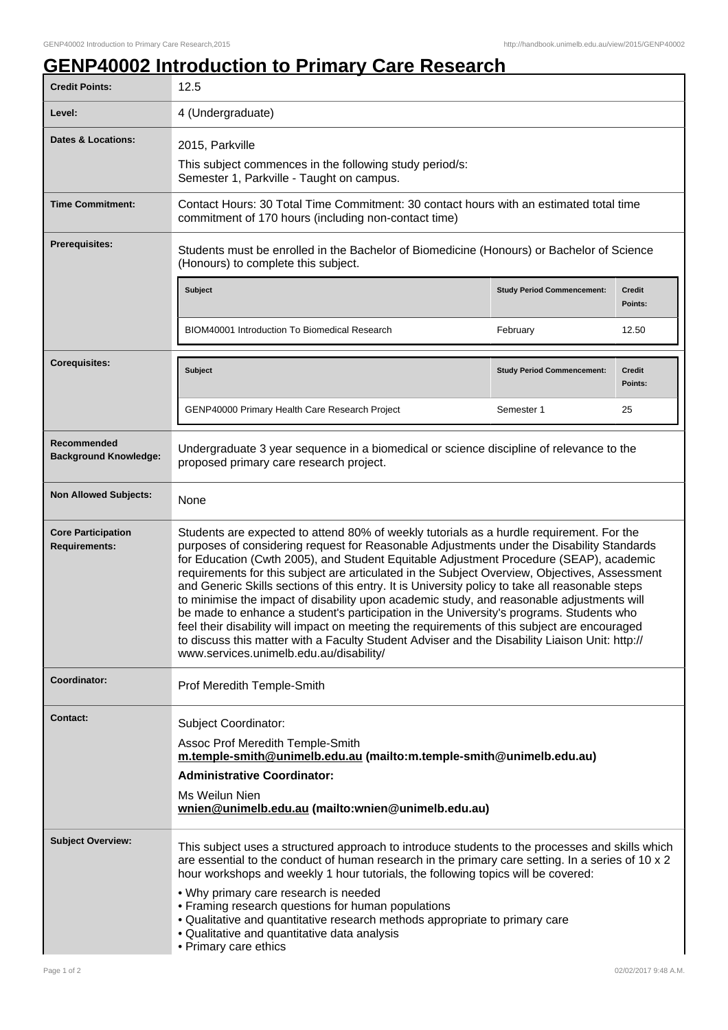ı

## **GENP40002 Introduction to Primary Care Research**

| <b>Credit Points:</b>                             | 12.5                                                                                                                                                                                                                                                                                                                                                                                                                                                                                                                                                                                                                                                                                                                                                                                                                                                                                                                     |                                   |                          |
|---------------------------------------------------|--------------------------------------------------------------------------------------------------------------------------------------------------------------------------------------------------------------------------------------------------------------------------------------------------------------------------------------------------------------------------------------------------------------------------------------------------------------------------------------------------------------------------------------------------------------------------------------------------------------------------------------------------------------------------------------------------------------------------------------------------------------------------------------------------------------------------------------------------------------------------------------------------------------------------|-----------------------------------|--------------------------|
| Level:                                            | 4 (Undergraduate)                                                                                                                                                                                                                                                                                                                                                                                                                                                                                                                                                                                                                                                                                                                                                                                                                                                                                                        |                                   |                          |
| <b>Dates &amp; Locations:</b>                     | 2015, Parkville                                                                                                                                                                                                                                                                                                                                                                                                                                                                                                                                                                                                                                                                                                                                                                                                                                                                                                          |                                   |                          |
|                                                   | This subject commences in the following study period/s:<br>Semester 1, Parkville - Taught on campus.                                                                                                                                                                                                                                                                                                                                                                                                                                                                                                                                                                                                                                                                                                                                                                                                                     |                                   |                          |
| <b>Time Commitment:</b>                           | Contact Hours: 30 Total Time Commitment: 30 contact hours with an estimated total time<br>commitment of 170 hours (including non-contact time)                                                                                                                                                                                                                                                                                                                                                                                                                                                                                                                                                                                                                                                                                                                                                                           |                                   |                          |
| Prerequisites:                                    | Students must be enrolled in the Bachelor of Biomedicine (Honours) or Bachelor of Science<br>(Honours) to complete this subject.                                                                                                                                                                                                                                                                                                                                                                                                                                                                                                                                                                                                                                                                                                                                                                                         |                                   |                          |
|                                                   | <b>Subject</b>                                                                                                                                                                                                                                                                                                                                                                                                                                                                                                                                                                                                                                                                                                                                                                                                                                                                                                           | <b>Study Period Commencement:</b> | <b>Credit</b><br>Points: |
|                                                   | BIOM40001 Introduction To Biomedical Research                                                                                                                                                                                                                                                                                                                                                                                                                                                                                                                                                                                                                                                                                                                                                                                                                                                                            | February                          | 12.50                    |
| <b>Corequisites:</b>                              | Subject                                                                                                                                                                                                                                                                                                                                                                                                                                                                                                                                                                                                                                                                                                                                                                                                                                                                                                                  | <b>Study Period Commencement:</b> | <b>Credit</b><br>Points: |
|                                                   | GENP40000 Primary Health Care Research Project                                                                                                                                                                                                                                                                                                                                                                                                                                                                                                                                                                                                                                                                                                                                                                                                                                                                           | Semester 1                        | 25                       |
| Recommended<br><b>Background Knowledge:</b>       | Undergraduate 3 year sequence in a biomedical or science discipline of relevance to the<br>proposed primary care research project.                                                                                                                                                                                                                                                                                                                                                                                                                                                                                                                                                                                                                                                                                                                                                                                       |                                   |                          |
| <b>Non Allowed Subjects:</b>                      | None                                                                                                                                                                                                                                                                                                                                                                                                                                                                                                                                                                                                                                                                                                                                                                                                                                                                                                                     |                                   |                          |
| <b>Core Participation</b><br><b>Requirements:</b> | Students are expected to attend 80% of weekly tutorials as a hurdle requirement. For the<br>purposes of considering request for Reasonable Adjustments under the Disability Standards<br>for Education (Cwth 2005), and Student Equitable Adjustment Procedure (SEAP), academic<br>requirements for this subject are articulated in the Subject Overview, Objectives, Assessment<br>and Generic Skills sections of this entry. It is University policy to take all reasonable steps<br>to minimise the impact of disability upon academic study, and reasonable adjustments will<br>be made to enhance a student's participation in the University's programs. Students who<br>feel their disability will impact on meeting the requirements of this subject are encouraged<br>to discuss this matter with a Faculty Student Adviser and the Disability Liaison Unit: http://<br>www.services.unimelb.edu.au/disability/ |                                   |                          |
| Coordinator:                                      | Prof Meredith Temple-Smith                                                                                                                                                                                                                                                                                                                                                                                                                                                                                                                                                                                                                                                                                                                                                                                                                                                                                               |                                   |                          |
| <b>Contact:</b>                                   | <b>Subject Coordinator:</b><br>Assoc Prof Meredith Temple-Smith<br>m.temple-smith@unimelb.edu.au (mailto:m.temple-smith@unimelb.edu.au)<br><b>Administrative Coordinator:</b><br>Ms Weilun Nien<br>wnien@unimelb.edu.au (mailto:wnien@unimelb.edu.au)                                                                                                                                                                                                                                                                                                                                                                                                                                                                                                                                                                                                                                                                    |                                   |                          |
| <b>Subject Overview:</b>                          | This subject uses a structured approach to introduce students to the processes and skills which<br>are essential to the conduct of human research in the primary care setting. In a series of 10 x 2<br>hour workshops and weekly 1 hour tutorials, the following topics will be covered:                                                                                                                                                                                                                                                                                                                                                                                                                                                                                                                                                                                                                                |                                   |                          |
|                                                   | . Why primary care research is needed<br>• Framing research questions for human populations<br>. Qualitative and quantitative research methods appropriate to primary care<br>• Qualitative and quantitative data analysis<br>• Primary care ethics                                                                                                                                                                                                                                                                                                                                                                                                                                                                                                                                                                                                                                                                      |                                   |                          |